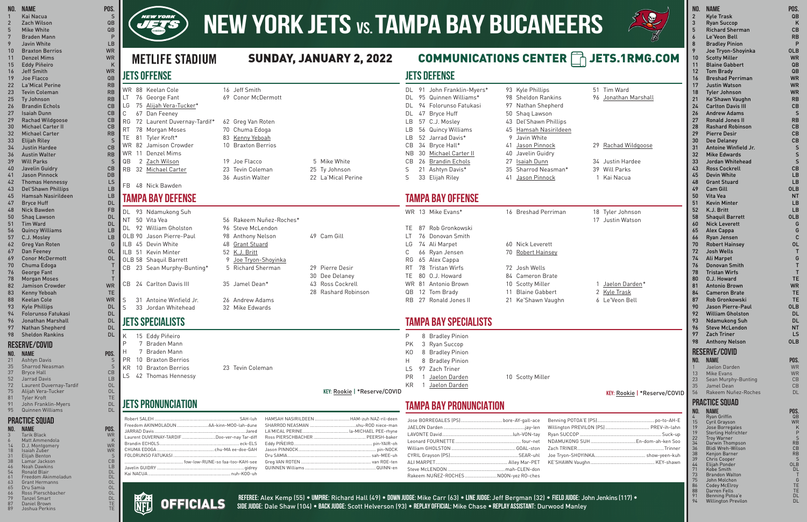## **JETS DEFENSE**

DL 91 John Franklin-Myers\* 93 Kyle Phillips 51 Tim Ward DL 95 Quinnen Williams\* 98 Sheldon Rankins 96 Jonathan Marshall DL 94 Folorunso Fatukasi 97 Nathan Shepherd DL 47 Bryce Huff 50 Shaq Lawson LB 57 C.J. Mosley 43 Del'Shawn Phillips LB 56 Quincy Williams 45 Hamsah Nasirildeen LB 52 Jarrad Davis\* 9 Javin White CB 34 Bryce Hall\* 41 Jason Pinnock 29 Rachad Wildgoose NB 30 Michael Carter II 40 Javelin Guidry CB 26 Brandin Echols 27 Isaiah Dunn 34 Justin Hardee S 21 Ashtyn Davis\* 35 Sharrod Neasman\* 39 Will Parks S 33 Elijah Riley 1 41 Jason Pinnock 1 Kai Nacua

- 
- 
- 
- 
- 
- 
- 16 Breshad Perriman 18 Tyler Johnson
	- 17 Justin Watson

- 10 Scotty Miller 1 Jaelon Darden\*
	-
	-

## **TAMPA BAY OFFENSE**

|              | WR 13 Mike Evans*     | 16 |
|--------------|-----------------------|----|
| TE.          | 87 Rob Gronkowski     |    |
|              | LT 76 Donovan Smith   |    |
|              | LG 74 Ali Marpet      | 60 |
| $\mathbb{C}$ | 66 Ryan Jensen        | 70 |
|              | RG 65 Alex Cappa      |    |
|              | RT 78 Tristan Wirfs   | 72 |
| TE.          | 80 O.J. Howard        | 84 |
|              | WR 81 Antonio Brown   | 10 |
|              | QB 12 Tom Brady       | 11 |
|              | RB 27 Ronald Jones II | 21 |
|              |                       |    |

## 60 Nick Leverett 70 Robert Hainsey

- 72 Josh Wells 84 Cameron Brate
	-
	- 11 Blaine Gabbert 2 Kyle Trask
	- 21 Ke'Shawn Vaughn 6 Le'Veon Bell

## **TAMPA BAY SPECIALISTS**

P 8 Bradley Pinion PK 3 Ryan Succop KO 8 Bradley Pinion H 8 Bradley Pinion LS 97 Zach Triner PR 1 Jaelon Darden 10 Scotty Miller KR 1 Jaelon Darden

### **KEY:** Rookie | \*Reserve/COVID

| J (PS)  PREV-ih-lahn |
|----------------------|
|                      |
| En-dom-ah-ken Soo    |
|                      |
|                      |
|                      |

**TAMPA BAY PRONUNCIATION** 

RG 72 Laurent Duvernay-Tardif\* 62 Greg Van Roten RT 78 Morgan Moses 70 Chuma Edoga TE 81 Tyler Kroft\* 83 Kenny Yeboah WR 82 Jamison Crowder 10 Braxton Berrios

| Jose BORREGALES (PS) bore-AY-gall-ace |  |
|---------------------------------------|--|
|                                       |  |
|                                       |  |
|                                       |  |
|                                       |  |
|                                       |  |
|                                       |  |
|                                       |  |
| Rakeem NUÑEZ-ROCHESNOON-yez RO-ches   |  |

Benning POTOA'E (P Willington PREVILON Ryan SUCCOP. NDAMUKONG SUH. Zach TRINER. Joe Tryon-SHOYINK KE'SHAWN Vaughn.

| AH-luh HAMSAH NASIRILDEEN HAM-zuh NAZ-ri                                                                                                                                                                                                                                                                                                                                                                                                                     |  |
|--------------------------------------------------------------------------------------------------------------------------------------------------------------------------------------------------------------------------------------------------------------------------------------------------------------------------------------------------------------------------------------------------------------------------------------------------------------|--|
|                                                                                                                                                                                                                                                                                                                                                                                                                                                              |  |
|                                                                                                                                                                                                                                                                                                                                                                                                                                                              |  |
|                                                                                                                                                                                                                                                                                                                                                                                                                                                              |  |
|                                                                                                                                                                                                                                                                                                                                                                                                                                                              |  |
|                                                                                                                                                                                                                                                                                                                                                                                                                                                              |  |
| $\mathcal{L} = \mathcal{L} = \mathcal{L} = \mathcal{L} = \mathcal{L} = \mathcal{L} = \mathcal{L} = \mathcal{L} = \mathcal{L} = \mathcal{L} = \mathcal{L} = \mathcal{L} = \mathcal{L} = \mathcal{L} = \mathcal{L} = \mathcal{L} = \mathcal{L} = \mathcal{L} = \mathcal{L} = \mathcal{L} = \mathcal{L} = \mathcal{L} = \mathcal{L} = \mathcal{L} = \mathcal{L} = \mathcal{L} = \mathcal{L} = \mathcal{L} = \mathcal{L} = \mathcal{L} = \mathcal{L} = \mathcal$ |  |

OLB 58 Shaquil Barrett 9 Joe Tryon-Shoyin CB 23 Sean Murphy-Bunting\* 5 Richard Sherma CB 24 Carlton Davis III 35 Jamel Dean\* 43 Ross Cockrell

S 31 Antoine Winfield Jr. 26 Andrew Adams S 33 Jordan Whitehead 32 Mike Edwards

|  | 49 Cam Gill                       |
|--|-----------------------------------|
|  | 29 Pierre Desir<br>30 Dee Delaney |
|  | n. n. . I II                      |

- 
- 

### **Referee:** Alex Kemp (55) • **Umpire:** Richard Hall (49) • **Down Judge:** Mike Carr (63) • **Line Judge:** Jeff Bergman (32) • **field Judge:** John Jenkins (117) •

**Side Judge:** Dale Shaw (104) • **Back Judge:** Scott Helverson (93) • **Replay Official:** Mike Chase • **Replay Assistant:** Durwood Manley

**JETS OFFENSE**

LG 75 Alijah Vera-Tucker\*

# **NEW YORK JETS vs. TAMPA BAY BUCANEERS**

## SUNDAY, JANUARY 2, 2022 COMMUNICATIONS CENTER **THE JETS.1RMG.COM**

C 67 Dan Feeney

WR 11 Denzel Mims

36 Austin Walter 22 La'Mical Perine

FB 48 Nick Bawden

**TAMPA BAY DEFENSE**

DL 93 Ndamukong Suh

NT 50 Vita Vea 56 Rakeem Nuñez-Roches\*

QB 2 Zach Wilson 19 Joe Flacco 5 Mike White RB 32 Michael Carter 23 Tevin Coleman 25 Ty Johnson

|  | DL 92 William Gholston                                                                                                                                                                                                                                                                                                                                                               | 96 Steve McLendon                         |                             |
|--|--------------------------------------------------------------------------------------------------------------------------------------------------------------------------------------------------------------------------------------------------------------------------------------------------------------------------------------------------------------------------------------|-------------------------------------------|-----------------------------|
|  | OLB 90 Jason Pierre-Paul                                                                                                                                                                                                                                                                                                                                                             | 98 Anthony Nelson                         | 49 Cam Gill                 |
|  | ILB 45 Devin White                                                                                                                                                                                                                                                                                                                                                                   | 48 Grant Stuard                           |                             |
|  | ILB 51 Kevin Minter                                                                                                                                                                                                                                                                                                                                                                  | 52 K.J. Britt                             |                             |
|  | OLB 58 Shaquil Barrett                                                                                                                                                                                                                                                                                                                                                               | 9 Joe Tryon-Shoyinka                      |                             |
|  | CB 23 Sean Murphy-Bunting*                                                                                                                                                                                                                                                                                                                                                           | 5 Richard Sherman                         | 29 Pierre Desir             |
|  |                                                                                                                                                                                                                                                                                                                                                                                      |                                           | 30 Dee Delaney              |
|  | $\overline{a}$ $\overline{b}$ $\overline{a}$ $\overline{b}$ $\overline{c}$ $\overline{c}$ $\overline{c}$ $\overline{c}$ $\overline{c}$ $\overline{c}$ $\overline{c}$ $\overline{c}$ $\overline{c}$ $\overline{c}$ $\overline{c}$ $\overline{c}$ $\overline{c}$ $\overline{c}$ $\overline{c}$ $\overline{c}$ $\overline{c}$ $\overline{c}$ $\overline{c}$ $\overline{c}$ $\overline{$ | $\sim$ $\sim$ $\sim$ $\sim$ $\sim$ $\sim$ | $\sim$ $\sim$ $\sim$ $\sim$ |

- 
- 28 Rashard Robinson

**JETS SPECIALISTS**

K 15 Eddy Piñeiro P 7 Braden Mann H 7 Braden Mann PR 10 Braxton Berrios

LS 42 Thomas Hennessy

**KEY:** Rookie | \*Reserve/COVID

## **JETS PRONUNCIATION**

| h                    | HAMSAH NASIRILDEEN HAM-zuh NAZ-ril-deen |
|----------------------|-----------------------------------------|
| e                    |                                         |
| d                    |                                         |
| ff                   |                                         |
| S                    |                                         |
| н                    |                                         |
| $\ddot{\phantom{a}}$ |                                         |
| e                    |                                         |
| V                    |                                         |
| h                    |                                         |

| POS.<br><b>WR</b><br>K<br><b>WR</b><br><b>WR</b><br>$\mathsf{S}$<br>CB<br><b>LB</b><br><b>DL</b><br><b>DL</b><br>OL | Laurent DUVERNAY-TARDIF Doo-ver-nay Tar-diff |                                                 |
|---------------------------------------------------------------------------------------------------------------------|----------------------------------------------|-------------------------------------------------|
| OL<br>OL<br><b>DL</b><br>TF<br>TE                                                                                   | 11011                                        | <b>RFFFRFF</b><br><b>OFFICIALS</b><br>SIDE JUDO |

KR 10 Braxton Berrios 23 Tevin Coleman

### **No. Name Pos.** 1 Kai Nacua S 2 Zach Wilson QB

- 5 Mike White QB 7 Braden Mann P 9 Javin White LB 10 Braxton Berrios WR 11 Denzel Mims WR 15 Eddy Piñeiro K
- 16 Jeff Smith WR
- 19 Joe Flacco QB 22 La'Mical Perine **RB**
- 23 Tevin Coleman **RB**
- 25 Ty Johnson RB
- 26 Brandin Echols CB
- 27 Isaiah Dunn CB
- 29 Rachad Wildgoose CB 30 Michael Carter II CB
- 32 Michael Carter Carter RB
- 33 Elijah Riley
- 34 Justin Hardee CB
- 36 Austin Walter **RB**
- 39 Will Parks Sales Street Street Street Street Street Street Street Street Street Street Street Street Street
- 40 Javelin Guidry CB
- 41 Jason Pinnock DB
- 42 Thomas Hennessy LS 43 Del'Shawn Phillips LB
- 45 Hamsah Nasirildeen LB
- 47 Bryce Huff **DL**
- 48 Nick Bawden FB
- 50 Shaq Lawson DL
- 51 Tim Ward DL
- 56 Quincy Williams LB
- 57 C.J. Mosley LB
- 62 Greg Van Roten G
- 67 Dan Feeney OL
- 69 Conor McDermott OL
- 70 Chuma Edoga
- 76 George Fant
- 78 Morgan Moses
- 82 Jamison Crowder WR
- 83 Kenny Yeboah TE
- 88 Keelan Cole WR 93 Kyle Phillips **DL**
- 94 Folorunso Fatukasi DL
- 96 Jonathan Marshall DL
- 97 Nathan Shepherd DL
- 98 Sheldon Rankins DL

## **Reserve/covid**

- **No. Name Pos.**
- 21 Ashtyn Davis
- 35 Sharrod Neasman S Bryce Hall
- 52 Jarrad Davis LB
- 72 Laurent Duvernay-Tardif OL
- 75 Alijah Vera-Tucker OL
- 81 Tyler Kroft
- 91 John Franklin-Myers DL 95 Quinnen Williams DL

## **PRACTICE SQUAD**

| NO. | NAME                  | POS.      |
|-----|-----------------------|-----------|
| 3   | <b>Tarik Black</b>    | <b>WR</b> |
| 6   | Matt Ammendola        | K         |
| 14  | D.J. Montgomery       | <b>WR</b> |
| 18  | Isaiah Zuber          | <b>WR</b> |
| 31  | Elijah Benton         | S         |
| 38  | Lamar Jackson         | CВ        |
| 46  | <b>Noah Dawkins</b>   | LB        |
| 54  | <b>Ronald Blair</b>   | DL        |
| 61  | Freedom Akinmoladun   | DL        |
| 63  | <b>Grant Hermanns</b> | OL        |
| 65  | Dru Samia             | ΟL        |
| 66  | Ross Pierschbacher    | OL        |
| 79  | <b>Tanzel Smart</b>   | DL        |
| 87  | Daniel Brown          | TE        |
| 89  | Joshua Perkins        | TE        |



**METLIFE STADIUM** 

WR 88 Keelan Cole 16 Jeff Smith LT 76 George Fant 69 Conor McDermott

| NO.            | <b>NAME</b>                                     | POS.       |
|----------------|-------------------------------------------------|------------|
| $\overline{2}$ | <b>Kyle Trask</b>                               | QB         |
| 3              | <b>Ryan Succop</b>                              | ĸ          |
| 5              | <b>Richard Sherman</b>                          | CВ         |
| 6              | Le'Veon Bell                                    | RB         |
| 8              | <b>Bradley Pinion</b>                           | P          |
| 9              | Joe Tryon-Shoyinka                              | <b>OLB</b> |
| 10             | <b>Scotty Miller</b>                            | <b>WR</b>  |
| 11             | <b>Blaine Gabbert</b>                           | QB         |
| 12             | <b>Tom Brady</b>                                | QB         |
| 16             | <b>Breshad Perriman</b>                         | <b>WR</b>  |
| 17             | <b>Justin Watson</b>                            | <b>WR</b>  |
| 18             | <b>Tyler Johnson</b>                            | <b>WR</b>  |
| 21             | Ke'Shawn Vaughn                                 | RB         |
| 24             | <b>Carlton Davis III</b><br><b>Andrew Adams</b> | CВ         |
| 26<br>27       | <b>Ronald Jones II</b>                          | S<br>RB    |
|                | <b>Rashard Robinson</b>                         | CВ         |
| 28<br>29       | <b>Pierre Desir</b>                             | CВ         |
| 30             | <b>Dee Delaney</b>                              | CВ         |
| 31             | Antoine Winfield Jr.                            | S          |
| 32             | <b>Mike Edwards</b>                             | S          |
| 33             | Jordan Whitehead                                | S          |
| 43             | <b>Ross Cockrell</b>                            | CB         |
| 45             | <b>Devin White</b>                              | LB         |
| 48             | <b>Grant Stuard</b>                             | LB         |
| 49             | Cam Gill                                        | 0LB        |
| 50             | Vita Vea                                        | ΝT         |
| 51             | <b>Kevin Minter</b>                             | LB         |
| 52             | K.J. Britt                                      | LB         |
| 58             | <b>Shaquil Barrett</b>                          | <b>OLB</b> |
| 60             | <b>Nick Leverett</b>                            | G          |
| 65             | <b>Alex Cappa</b>                               | G          |
| 66             | Ryan Jensen                                     | C          |
| 70             | <b>Robert Hainsey</b>                           | 0L         |
| 72             | Josh Wells                                      | т          |
| 74             | <b>Ali Marpet</b>                               | G          |
| 76             | <b>Donovan Smith</b>                            | т          |
| 78             | <b>Tristan Wirfs</b>                            | т          |
| 80             | 0.J. Howard                                     | TE         |
| 81             | <b>Antonio Brown</b>                            | WR         |
| 84             | <b>Cameron Brate</b>                            | TЕ         |
| 87             | Rob Gronkowski                                  | TE         |
| 90             | Jason Pierre-Paul                               | 0LB        |
| 92             | <b>William Gholston</b>                         | DL         |
| 93             | <b>Ndamukong Suh</b>                            | DL         |
| 96             | <b>Steve McLendon</b>                           | NΤ         |
| 97             | <b>Zach Triner</b>                              | LS         |
| 98             | <b>Anthony Nelson</b>                           | <b>OLB</b> |
|                | <b>RESERVE/COVID</b>                            |            |
| NO.            | <b>NAME</b>                                     | POS.       |
| 1              | Jaelon Darden                                   | WR         |
| 13             | <b>Mike Evans</b>                               | <b>WR</b>  |
| 23             | Sean Murphy-Bunting                             | CB         |
| 35             | Jamel Dean                                      | CВ         |
| 56             | Rakeem Nuñez-Roches                             | DL         |
|                | <b>PRACTICE SQUAD</b>                           |            |
| NO.            | NAME                                            | POS.       |
| 4              | Ryan Griffin                                    | QB         |
| 15             | Cyril Grayson                                   | WR         |
| 19<br>19       | Jose Borregales<br>Sterling Hofrichter          | Κ<br>P     |
| 22             | <b>Troy Warner</b>                              | S          |
| 34             | Darwin Thompson                                 | RB         |
| 36<br>38       | Blidi Wreh-Wilson<br>Kenjon Barner              | CВ<br>RB   |
| 39             | Chris Cooper                                    | S          |
| 44             | Elijah Ponder                                   | OLB        |
| 71<br>73       | Kobe Smith<br>Brandon Walton                    | DL<br>Τ    |
| 75             | John Molchon                                    | G          |
| 86             | <b>Codey McElroy</b>                            | TE         |
| 88<br>91       | Darren Fells<br>Benning Potoa'e                 | TE<br>DL   |

94 Willington Previlon DL